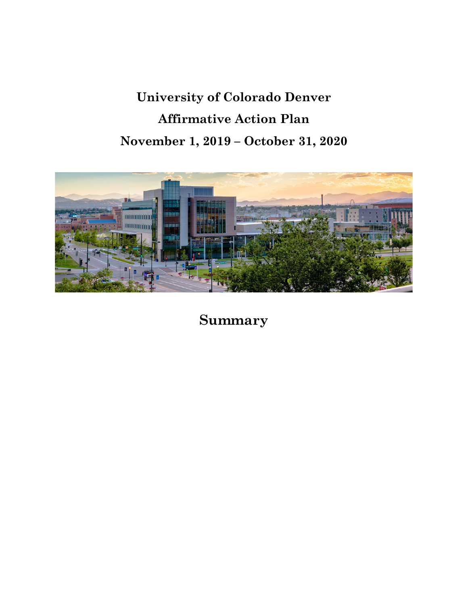# **University of Colorado Denver Affirmative Action Plan November 1, 2019 – October 31, 2020**



**Summary**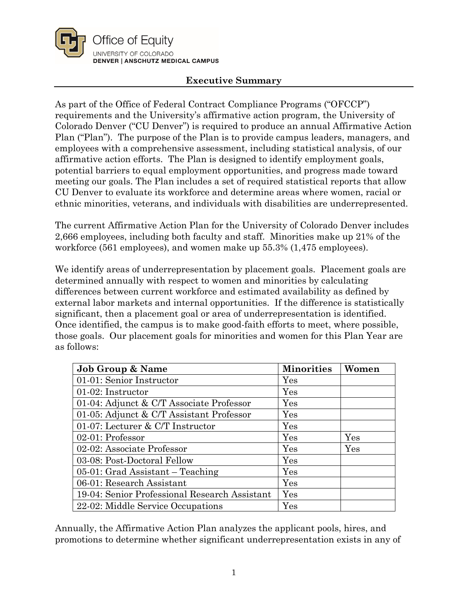

## **Executive Summary**

As part of the Office of Federal Contract Compliance Programs ("OFCCP") requirements and the University's affirmative action program, the University of Colorado Denver ("CU Denver") is required to produce an annual Affirmative Action Plan ("Plan"). The purpose of the Plan is to provide campus leaders, managers, and employees with a comprehensive assessment, including statistical analysis, of our affirmative action efforts. The Plan is designed to identify employment goals, potential barriers to equal employment opportunities, and progress made toward meeting our goals. The Plan includes a set of required statistical reports that allow CU Denver to evaluate its workforce and determine areas where women, racial or ethnic minorities, veterans, and individuals with disabilities are underrepresented.

The current Affirmative Action Plan for the University of Colorado Denver includes 2,666 employees, including both faculty and staff. Minorities make up 21% of the workforce (561 employees), and women make up 55.3% (1,475 employees).

We identify areas of underrepresentation by placement goals. Placement goals are determined annually with respect to women and minorities by calculating differences between current workforce and estimated availability as defined by external labor markets and internal opportunities. If the difference is statistically significant, then a placement goal or area of underrepresentation is identified. Once identified, the campus is to make good-faith efforts to meet, where possible, those goals. Our placement goals for minorities and women for this Plan Year are as follows:

| <b>Job Group &amp; Name</b>                   | <b>Minorities</b>    | Women |
|-----------------------------------------------|----------------------|-------|
| 01-01: Senior Instructor                      | Yes                  |       |
| 01-02: Instructor                             | Yes                  |       |
| 01-04: Adjunct & C/T Associate Professor      | Yes                  |       |
| 01-05: Adjunct & C/T Assistant Professor      | Yes                  |       |
| 01-07: Lecturer $& C/T$ Instructor            | Yes                  |       |
| $02-01$ : Professor                           | Yes                  | Yes   |
| 02-02: Associate Professor                    | Yes                  | Yes   |
| 03-08: Post-Doctoral Fellow                   | Yes                  |       |
| $05-01$ : Grad Assistant – Teaching           | Yes                  |       |
| 06-01: Research Assistant                     | Yes                  |       |
| 19-04: Senior Professional Research Assistant | $\operatorname{Yes}$ |       |
| 22-02: Middle Service Occupations             | Yes                  |       |

Annually, the Affirmative Action Plan analyzes the applicant pools, hires, and promotions to determine whether significant underrepresentation exists in any of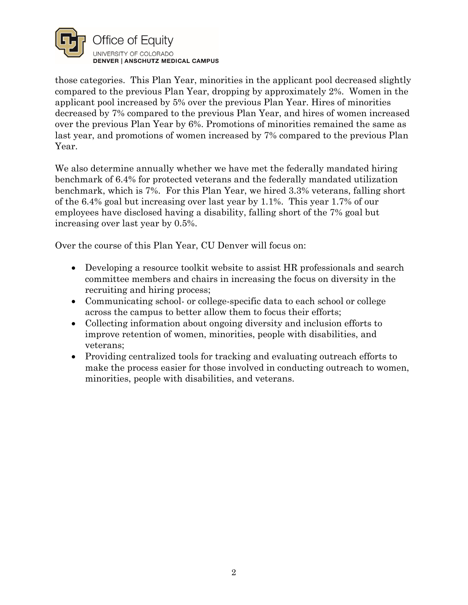

those categories. This Plan Year, minorities in the applicant pool decreased slightly compared to the previous Plan Year, dropping by approximately 2%. Women in the applicant pool increased by 5% over the previous Plan Year. Hires of minorities decreased by 7% compared to the previous Plan Year, and hires of women increased over the previous Plan Year by 6%. Promotions of minorities remained the same as last year, and promotions of women increased by 7% compared to the previous Plan Year.

We also determine annually whether we have met the federally mandated hiring benchmark of 6.4% for protected veterans and the federally mandated utilization benchmark, which is 7%. For this Plan Year, we hired 3.3% veterans, falling short of the 6.4% goal but increasing over last year by 1.1%. This year 1.7% of our employees have disclosed having a disability, falling short of the 7% goal but increasing over last year by 0.5%.

Over the course of this Plan Year, CU Denver will focus on:

- Developing a resource toolkit website to assist HR professionals and search committee members and chairs in increasing the focus on diversity in the recruiting and hiring process;
- Communicating school- or college-specific data to each school or college across the campus to better allow them to focus their efforts;
- Collecting information about ongoing diversity and inclusion efforts to improve retention of women, minorities, people with disabilities, and veterans;
- Providing centralized tools for tracking and evaluating outreach efforts to make the process easier for those involved in conducting outreach to women, minorities, people with disabilities, and veterans.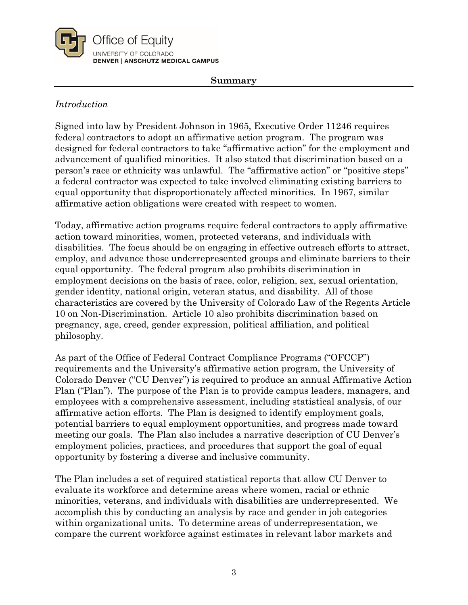

#### **Summary**

## *Introduction*

Signed into law by President Johnson in 1965, Executive Order 11246 requires federal contractors to adopt an affirmative action program. The program was designed for federal contractors to take "affirmative action" for the employment and advancement of qualified minorities. It also stated that discrimination based on a person's race or ethnicity was unlawful. The "affirmative action" or "positive steps" a federal contractor was expected to take involved eliminating existing barriers to equal opportunity that disproportionately affected minorities. In 1967, similar affirmative action obligations were created with respect to women.

Today, affirmative action programs require federal contractors to apply affirmative action toward minorities, women, protected veterans, and individuals with disabilities. The focus should be on engaging in effective outreach efforts to attract, employ, and advance those underrepresented groups and eliminate barriers to their equal opportunity. The federal program also prohibits discrimination in employment decisions on the basis of race, color, religion, sex, sexual orientation, gender identity, national origin, veteran status, and disability. All of those characteristics are covered by the University of Colorado Law of the Regents Article 10 on Non-Discrimination. Article 10 also prohibits discrimination based on pregnancy, age, creed, gender expression, political affiliation, and political philosophy.

As part of the Office of Federal Contract Compliance Programs ("OFCCP") requirements and the University's affirmative action program, the University of Colorado Denver ("CU Denver") is required to produce an annual Affirmative Action Plan ("Plan"). The purpose of the Plan is to provide campus leaders, managers, and employees with a comprehensive assessment, including statistical analysis, of our affirmative action efforts. The Plan is designed to identify employment goals, potential barriers to equal employment opportunities, and progress made toward meeting our goals. The Plan also includes a narrative description of CU Denver's employment policies, practices, and procedures that support the goal of equal opportunity by fostering a diverse and inclusive community.

The Plan includes a set of required statistical reports that allow CU Denver to evaluate its workforce and determine areas where women, racial or ethnic minorities, veterans, and individuals with disabilities are underrepresented. We accomplish this by conducting an analysis by race and gender in job categories within organizational units. To determine areas of underrepresentation, we compare the current workforce against estimates in relevant labor markets and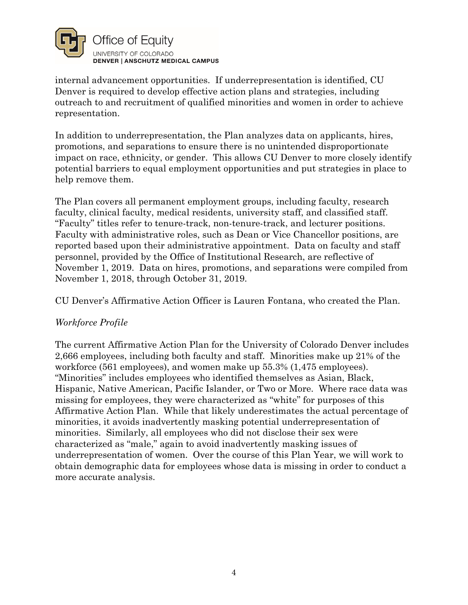

internal advancement opportunities. If underrepresentation is identified, CU Denver is required to develop effective action plans and strategies, including outreach to and recruitment of qualified minorities and women in order to achieve representation.

In addition to underrepresentation, the Plan analyzes data on applicants, hires, promotions, and separations to ensure there is no unintended disproportionate impact on race, ethnicity, or gender. This allows CU Denver to more closely identify potential barriers to equal employment opportunities and put strategies in place to help remove them.

The Plan covers all permanent employment groups, including faculty, research faculty, clinical faculty, medical residents, university staff, and classified staff. "Faculty" titles refer to tenure-track, non-tenure-track, and lecturer positions. Faculty with administrative roles, such as Dean or Vice Chancellor positions, are reported based upon their administrative appointment. Data on faculty and staff personnel, provided by the Office of Institutional Research, are reflective of November 1, 2019. Data on hires, promotions, and separations were compiled from November 1, 2018, through October 31, 2019.

CU Denver's Affirmative Action Officer is Lauren Fontana, who created the Plan.

## *Workforce Profile*

The current Affirmative Action Plan for the University of Colorado Denver includes 2,666 employees, including both faculty and staff. Minorities make up 21% of the workforce (561 employees), and women make up 55.3% (1,475 employees). "Minorities" includes employees who identified themselves as Asian, Black, Hispanic, Native American, Pacific Islander, or Two or More. Where race data was missing for employees, they were characterized as "white" for purposes of this Affirmative Action Plan. While that likely underestimates the actual percentage of minorities, it avoids inadvertently masking potential underrepresentation of minorities. Similarly, all employees who did not disclose their sex were characterized as "male," again to avoid inadvertently masking issues of underrepresentation of women. Over the course of this Plan Year, we will work to obtain demographic data for employees whose data is missing in order to conduct a more accurate analysis.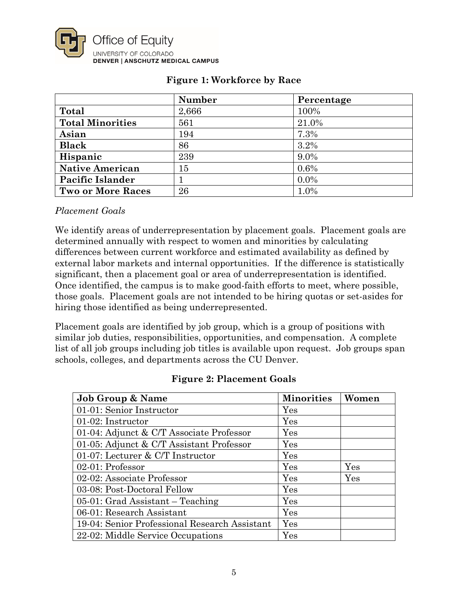

|                          | <b>Number</b> | Percentage |
|--------------------------|---------------|------------|
| Total                    | 2,666         | 100%       |
| <b>Total Minorities</b>  | 561           | 21.0%      |
| Asian                    | 194           | 7.3%       |
| <b>Black</b>             | 86            | 3.2%       |
| Hispanic                 | 239           | 9.0%       |
| <b>Native American</b>   | 15            | 0.6%       |
| Pacific Islander         |               | $0.0\%$    |
| <b>Two or More Races</b> | 26            | 1.0%       |

## **Figure 1: Workforce by Race**

#### *Placement Goals*

We identify areas of underrepresentation by placement goals. Placement goals are determined annually with respect to women and minorities by calculating differences between current workforce and estimated availability as defined by external labor markets and internal opportunities. If the difference is statistically significant, then a placement goal or area of underrepresentation is identified. Once identified, the campus is to make good-faith efforts to meet, where possible, those goals. Placement goals are not intended to be hiring quotas or set-asides for hiring those identified as being underrepresented.

Placement goals are identified by job group, which is a group of positions with similar job duties, responsibilities, opportunities, and compensation. A complete list of all job groups including job titles is available upon request. Job groups span schools, colleges, and departments across the CU Denver.

| <b>Figure 2: Placement Goals</b> |  |
|----------------------------------|--|
|                                  |  |

| <b>Job Group &amp; Name</b>                   | <b>Minorities</b> | Women |
|-----------------------------------------------|-------------------|-------|
| 01-01: Senior Instructor                      | Yes               |       |
| 01-02: Instructor                             | Yes               |       |
| 01-04: Adjunct & C/T Associate Professor      | Yes               |       |
| 01-05: Adjunct & C/T Assistant Professor      | Yes               |       |
| 01-07: Lecturer $& C/T$ Instructor            | Yes               |       |
| 02-01: Professor                              | Yes               | Yes   |
| 02-02: Associate Professor                    | Yes               | Yes   |
| 03-08: Post-Doctoral Fellow                   | Yes               |       |
| $05-01$ : Grad Assistant – Teaching           | Yes               |       |
| 06-01: Research Assistant                     | Yes               |       |
| 19-04: Senior Professional Research Assistant | Yes               |       |
| 22-02: Middle Service Occupations             | Yes               |       |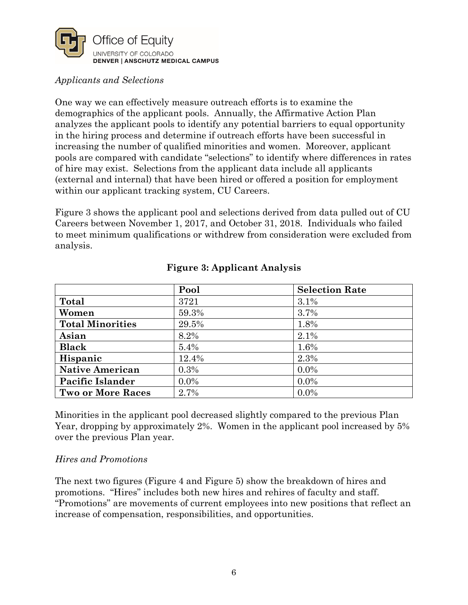

## *Applicants and Selections*

One way we can effectively measure outreach efforts is to examine the demographics of the applicant pools. Annually, the Affirmative Action Plan analyzes the applicant pools to identify any potential barriers to equal opportunity in the hiring process and determine if outreach efforts have been successful in increasing the number of qualified minorities and women. Moreover, applicant pools are compared with candidate "selections" to identify where differences in rates of hire may exist. Selections from the applicant data include all applicants (external and internal) that have been hired or offered a position for employment within our applicant tracking system, CU Careers.

Figure 3 shows the applicant pool and selections derived from data pulled out of CU Careers between November 1, 2017, and October 31, 2018. Individuals who failed to meet minimum qualifications or withdrew from consideration were excluded from analysis.

|                          | Pool    | <b>Selection Rate</b> |
|--------------------------|---------|-----------------------|
| Total                    | 3721    | 3.1%                  |
| Women                    | 59.3%   | 3.7%                  |
| <b>Total Minorities</b>  | 29.5%   | 1.8%                  |
| Asian                    | 8.2%    | 2.1%                  |
| <b>Black</b>             | 5.4%    | 1.6%                  |
| Hispanic                 | 12.4%   | 2.3%                  |
| <b>Native American</b>   | 0.3%    | $0.0\%$               |
| <b>Pacific Islander</b>  | $0.0\%$ | $0.0\%$               |
| <b>Two or More Races</b> | 2.7%    | $0.0\%$               |

## **Figure 3: Applicant Analysis**

Minorities in the applicant pool decreased slightly compared to the previous Plan Year, dropping by approximately 2%. Women in the applicant pool increased by 5% over the previous Plan year.

#### *Hires and Promotions*

The next two figures (Figure 4 and Figure 5) show the breakdown of hires and promotions. "Hires" includes both new hires and rehires of faculty and staff. "Promotions" are movements of current employees into new positions that reflect an increase of compensation, responsibilities, and opportunities.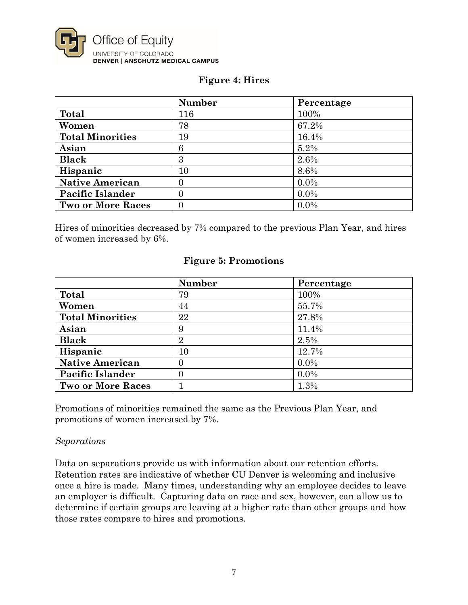

#### **Figure 4: Hires**

|                          | <b>Number</b>  | Percentage |
|--------------------------|----------------|------------|
| Total                    | 116            | 100%       |
| Women                    | 78             | 67.2%      |
| <b>Total Minorities</b>  | 19             | 16.4%      |
| Asian                    | 6              | 5.2%       |
| <b>Black</b>             | 3              | 2.6%       |
| Hispanic                 | 10             | 8.6%       |
| <b>Native American</b>   | $\overline{0}$ | $0.0\%$    |
| <b>Pacific Islander</b>  | 0              | $0.0\%$    |
| <b>Two or More Races</b> | $\overline{0}$ | $0.0\%$    |

Hires of minorities decreased by 7% compared to the previous Plan Year, and hires of women increased by 6%.

|                          | <b>Number</b>  | Percentage |
|--------------------------|----------------|------------|
| Total                    | 79             | 100%       |
| Women                    | 44             | 55.7%      |
| <b>Total Minorities</b>  | 22             | 27.8%      |
| Asian                    | 9              | 11.4%      |
| <b>Black</b>             | $\overline{2}$ | 2.5%       |
| Hispanic                 | 10             | 12.7%      |
| <b>Native American</b>   | $\Omega$       | $0.0\%$    |
| Pacific Islander         | $\Omega$       | $0.0\%$    |
| <b>Two or More Races</b> |                | 1.3%       |

#### **Figure 5: Promotions**

Promotions of minorities remained the same as the Previous Plan Year, and promotions of women increased by 7%.

#### *Separations*

Data on separations provide us with information about our retention efforts. Retention rates are indicative of whether CU Denver is welcoming and inclusive once a hire is made. Many times, understanding why an employee decides to leave an employer is difficult. Capturing data on race and sex, however, can allow us to determine if certain groups are leaving at a higher rate than other groups and how those rates compare to hires and promotions.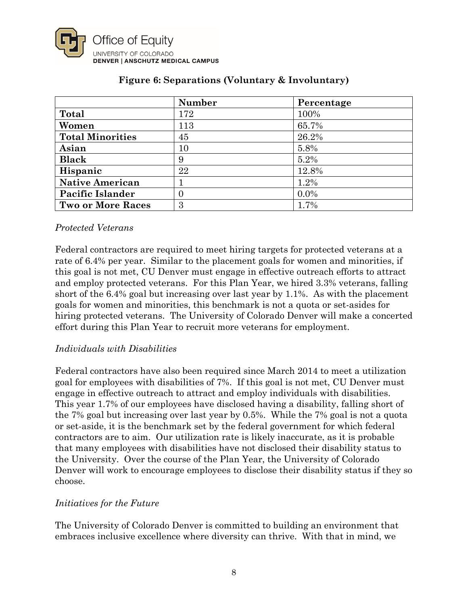

|                          | <b>Number</b> | Percentage |
|--------------------------|---------------|------------|
| Total                    | 172           | 100%       |
| Women                    | 113           | 65.7%      |
| <b>Total Minorities</b>  | 45            | 26.2%      |
| Asian                    | 10            | 5.8%       |
| <b>Black</b>             | 9             | 5.2%       |
| Hispanic                 | 22            | 12.8%      |
| <b>Native American</b>   |               | 1.2%       |
| <b>Pacific Islander</b>  | $\theta$      | $0.0\%$    |
| <b>Two or More Races</b> | 3             | 1.7%       |

## **Figure 6: Separations (Voluntary & Involuntary)**

### *Protected Veterans*

Federal contractors are required to meet hiring targets for protected veterans at a rate of 6.4% per year. Similar to the placement goals for women and minorities, if this goal is not met, CU Denver must engage in effective outreach efforts to attract and employ protected veterans. For this Plan Year, we hired 3.3% veterans, falling short of the 6.4% goal but increasing over last year by 1.1%. As with the placement goals for women and minorities, this benchmark is not a quota or set-asides for hiring protected veterans. The University of Colorado Denver will make a concerted effort during this Plan Year to recruit more veterans for employment.

## *Individuals with Disabilities*

Federal contractors have also been required since March 2014 to meet a utilization goal for employees with disabilities of 7%. If this goal is not met, CU Denver must engage in effective outreach to attract and employ individuals with disabilities. This year 1.7% of our employees have disclosed having a disability, falling short of the 7% goal but increasing over last year by 0.5%. While the 7% goal is not a quota or set-aside, it is the benchmark set by the federal government for which federal contractors are to aim. Our utilization rate is likely inaccurate, as it is probable that many employees with disabilities have not disclosed their disability status to the University. Over the course of the Plan Year, the University of Colorado Denver will work to encourage employees to disclose their disability status if they so choose.

#### *Initiatives for the Future*

The University of Colorado Denver is committed to building an environment that embraces inclusive excellence where diversity can thrive. With that in mind, we